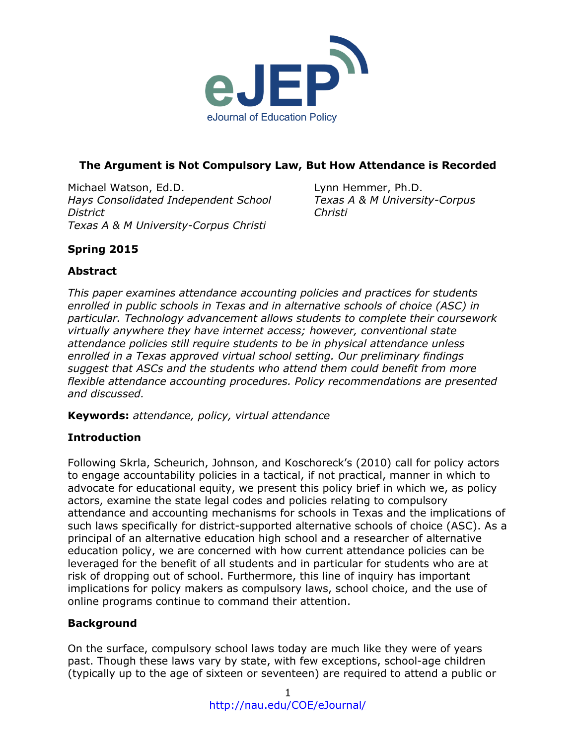

## **The Argument is Not Compulsory Law, But How Attendance is Recorded**

Michael Watson, Ed.D. *Hays Consolidated Independent School District Texas A & M University-Corpus Christi*

Lynn Hemmer, Ph.D. *Texas A & M University-Corpus Christi*

# **Spring 2015**

# **Abstract**

*This paper examines attendance accounting policies and practices for students enrolled in public schools in Texas and in alternative schools of choice (ASC) in particular. Technology advancement allows students to complete their coursework virtually anywhere they have internet access; however, conventional state attendance policies still require students to be in physical attendance unless enrolled in a Texas approved virtual school setting. Our preliminary findings suggest that ASCs and the students who attend them could benefit from more flexible attendance accounting procedures. Policy recommendations are presented and discussed.* 

**Keywords:** *attendance, policy, virtual attendance*

### **Introduction**

Following Skrla, Scheurich, Johnson, and Koschoreck's (2010) call for policy actors to engage accountability policies in a tactical, if not practical, manner in which to advocate for educational equity, we present this policy brief in which we, as policy actors, examine the state legal codes and policies relating to compulsory attendance and accounting mechanisms for schools in Texas and the implications of such laws specifically for district-supported alternative schools of choice (ASC). As a principal of an alternative education high school and a researcher of alternative education policy, we are concerned with how current attendance policies can be leveraged for the benefit of all students and in particular for students who are at risk of dropping out of school. Furthermore, this line of inquiry has important implications for policy makers as compulsory laws, school choice, and the use of online programs continue to command their attention.

### **Background**

On the surface, compulsory school laws today are much like they were of years past. Though these laws vary by state, with few exceptions, school-age children (typically up to the age of sixteen or seventeen) are required to attend a public or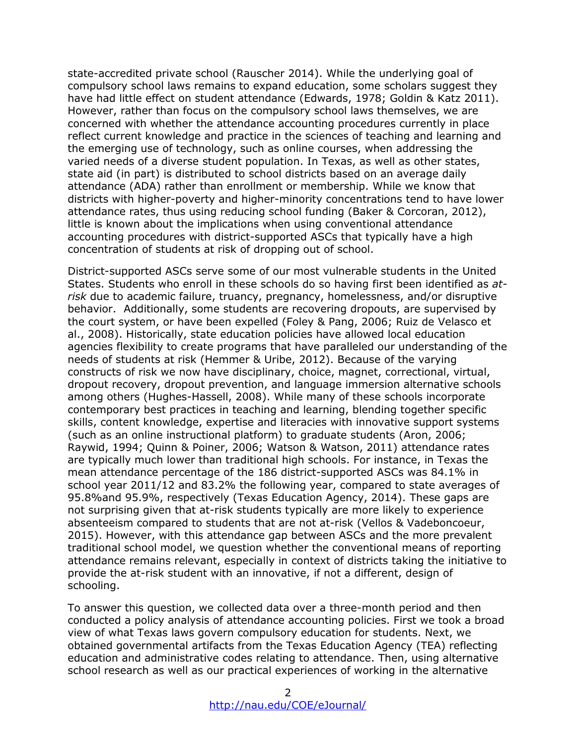state-accredited private school (Rauscher 2014). While the underlying goal of compulsory school laws remains to expand education, some scholars suggest they have had little effect on student attendance (Edwards, 1978; Goldin & Katz 2011). However, rather than focus on the compulsory school laws themselves, we are concerned with whether the attendance accounting procedures currently in place reflect current knowledge and practice in the sciences of teaching and learning and the emerging use of technology, such as online courses, when addressing the varied needs of a diverse student population. In Texas, as well as other states, state aid (in part) is distributed to school districts based on an average daily attendance (ADA) rather than enrollment or membership. While we know that districts with higher-poverty and higher-minority concentrations tend to have lower attendance rates, thus using reducing school funding (Baker & Corcoran, 2012), little is known about the implications when using conventional attendance accounting procedures with district-supported ASCs that typically have a high concentration of students at risk of dropping out of school.

District-supported ASCs serve some of our most vulnerable students in the United States. Students who enroll in these schools do so having first been identified as *atrisk* due to academic failure, truancy, pregnancy, homelessness, and/or disruptive behavior. Additionally, some students are recovering dropouts, are supervised by the court system, or have been expelled (Foley & Pang, 2006; Ruiz de Velasco et al., 2008). Historically, state education policies have allowed local education agencies flexibility to create programs that have paralleled our understanding of the needs of students at risk (Hemmer & Uribe, 2012). Because of the varying constructs of risk we now have disciplinary, choice, magnet, correctional, virtual, dropout recovery, dropout prevention, and language immersion alternative schools among others (Hughes-Hassell, 2008). While many of these schools incorporate contemporary best practices in teaching and learning, blending together specific skills, content knowledge, expertise and literacies with innovative support systems (such as an online instructional platform) to graduate students (Aron, 2006; Raywid, 1994; Quinn & Poiner, 2006; Watson & Watson, 2011) attendance rates are typically much lower than traditional high schools. For instance, in Texas the mean attendance percentage of the 186 district-supported ASCs was 84.1% in school year 2011/12 and 83.2% the following year, compared to state averages of 95.8%and 95.9%, respectively (Texas Education Agency, 2014). These gaps are not surprising given that at-risk students typically are more likely to experience absenteeism compared to students that are not at-risk (Vellos & Vadeboncoeur, 2015). However, with this attendance gap between ASCs and the more prevalent traditional school model, we question whether the conventional means of reporting attendance remains relevant, especially in context of districts taking the initiative to provide the at-risk student with an innovative, if not a different, design of schooling.

To answer this question, we collected data over a three-month period and then conducted a policy analysis of attendance accounting policies. First we took a broad view of what Texas laws govern compulsory education for students. Next, we obtained governmental artifacts from the Texas Education Agency (TEA) reflecting education and administrative codes relating to attendance. Then, using alternative school research as well as our practical experiences of working in the alternative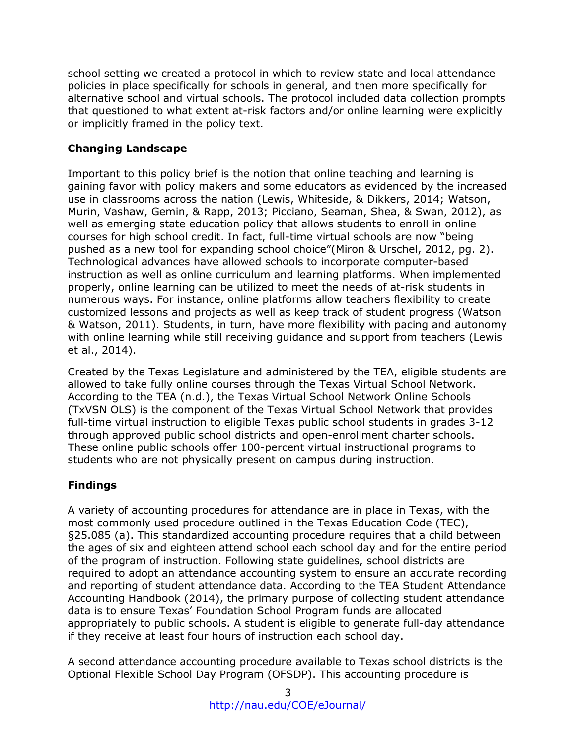school setting we created a protocol in which to review state and local attendance policies in place specifically for schools in general, and then more specifically for alternative school and virtual schools. The protocol included data collection prompts that questioned to what extent at-risk factors and/or online learning were explicitly or implicitly framed in the policy text.

### **Changing Landscape**

Important to this policy brief is the notion that online teaching and learning is gaining favor with policy makers and some educators as evidenced by the increased use in classrooms across the nation (Lewis, Whiteside, & Dikkers, 2014; Watson, Murin, Vashaw, Gemin, & Rapp, 2013; Picciano, Seaman, Shea, & Swan, 2012), as well as emerging state education policy that allows students to enroll in online courses for high school credit. In fact, full-time virtual schools are now "being pushed as a new tool for expanding school choice"(Miron & Urschel, 2012, pg. 2). Technological advances have allowed schools to incorporate computer-based instruction as well as online curriculum and learning platforms. When implemented properly, online learning can be utilized to meet the needs of at-risk students in numerous ways. For instance, online platforms allow teachers flexibility to create customized lessons and projects as well as keep track of student progress (Watson & Watson, 2011). Students, in turn, have more flexibility with pacing and autonomy with online learning while still receiving guidance and support from teachers (Lewis et al., 2014).

Created by the Texas Legislature and administered by the TEA, eligible students are allowed to take fully online courses through the Texas Virtual School Network. According to the TEA (n.d.), the Texas Virtual School Network Online Schools (TxVSN OLS) is the component of the Texas Virtual School Network that provides full-time virtual instruction to eligible Texas public school students in grades 3-12 through approved public school districts and open-enrollment charter schools. These online public schools offer 100-percent virtual instructional programs to students who are not physically present on campus during instruction.

### **Findings**

A variety of accounting procedures for attendance are in place in Texas, with the most commonly used procedure outlined in the Texas Education Code (TEC), §25.085 (a). This standardized accounting procedure requires that a child between the ages of six and eighteen attend school each school day and for the entire period of the program of instruction. Following state guidelines, school districts are required to adopt an attendance accounting system to ensure an accurate recording and reporting of student attendance data. According to the TEA Student Attendance Accounting Handbook (2014), the primary purpose of collecting student attendance data is to ensure Texas' Foundation School Program funds are allocated appropriately to public schools. A student is eligible to generate full-day attendance if they receive at least four hours of instruction each school day.

A second attendance accounting procedure available to Texas school districts is the Optional Flexible School Day Program (OFSDP). This accounting procedure is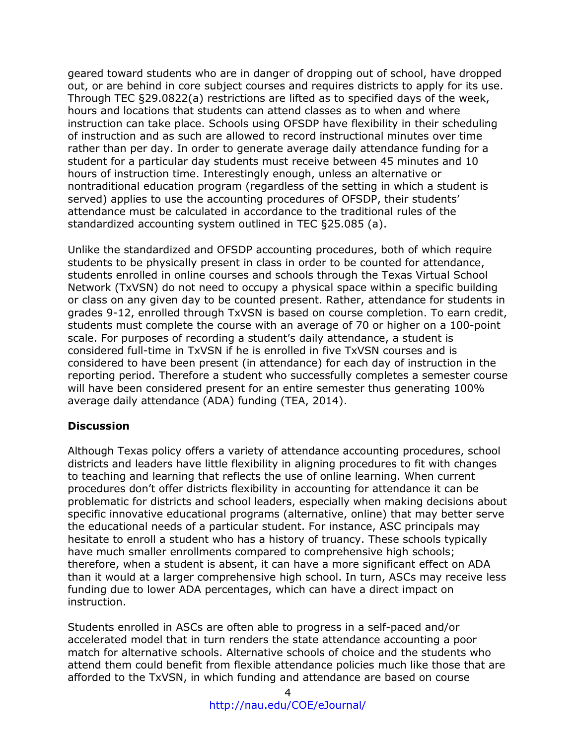geared toward students who are in danger of dropping out of school, have dropped out, or are behind in core subject courses and requires districts to apply for its use. Through TEC §29.0822(a) restrictions are lifted as to specified days of the week, hours and locations that students can attend classes as to when and where instruction can take place. Schools using OFSDP have flexibility in their scheduling of instruction and as such are allowed to record instructional minutes over time rather than per day. In order to generate average daily attendance funding for a student for a particular day students must receive between 45 minutes and 10 hours of instruction time. Interestingly enough, unless an alternative or nontraditional education program (regardless of the setting in which a student is served) applies to use the accounting procedures of OFSDP, their students' attendance must be calculated in accordance to the traditional rules of the standardized accounting system outlined in TEC §25.085 (a).

Unlike the standardized and OFSDP accounting procedures, both of which require students to be physically present in class in order to be counted for attendance, students enrolled in online courses and schools through the Texas Virtual School Network (TxVSN) do not need to occupy a physical space within a specific building or class on any given day to be counted present. Rather, attendance for students in grades 9-12, enrolled through TxVSN is based on course completion. To earn credit, students must complete the course with an average of 70 or higher on a 100-point scale. For purposes of recording a student's daily attendance, a student is considered full-time in TxVSN if he is enrolled in five TxVSN courses and is considered to have been present (in attendance) for each day of instruction in the reporting period. Therefore a student who successfully completes a semester course will have been considered present for an entire semester thus generating 100% average daily attendance (ADA) funding (TEA, 2014).

#### **Discussion**

Although Texas policy offers a variety of attendance accounting procedures, school districts and leaders have little flexibility in aligning procedures to fit with changes to teaching and learning that reflects the use of online learning. When current procedures don't offer districts flexibility in accounting for attendance it can be problematic for districts and school leaders, especially when making decisions about specific innovative educational programs (alternative, online) that may better serve the educational needs of a particular student. For instance, ASC principals may hesitate to enroll a student who has a history of truancy. These schools typically have much smaller enrollments compared to comprehensive high schools; therefore, when a student is absent, it can have a more significant effect on ADA than it would at a larger comprehensive high school. In turn, ASCs may receive less funding due to lower ADA percentages, which can have a direct impact on instruction.

Students enrolled in ASCs are often able to progress in a self-paced and/or accelerated model that in turn renders the state attendance accounting a poor match for alternative schools. Alternative schools of choice and the students who attend them could benefit from flexible attendance policies much like those that are afforded to the TxVSN, in which funding and attendance are based on course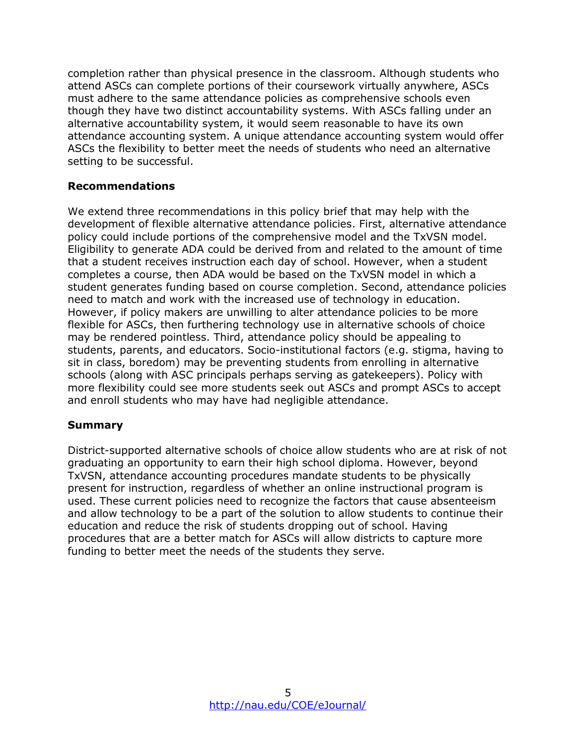completion rather than physical presence in the classroom. Although students who attend ASCs can complete portions of their coursework virtually anywhere, ASCs must adhere to the same attendance policies as comprehensive schools even though they have two distinct accountability systems. With ASCs falling under an alternative accountability system, it would seem reasonable to have its own attendance accounting system. A unique attendance accounting system would offer ASCs the flexibility to better meet the needs of students who need an alternative setting to be successful.

#### **Recommendations**

We extend three recommendations in this policy brief that may help with the development of flexible alternative attendance policies. First, alternative attendance policy could include portions of the comprehensive model and the TxVSN model. Eligibility to generate ADA could be derived from and related to the amount of time that a student receives instruction each day of school. However, when a student completes a course, then ADA would be based on the TxVSN model in which a student generates funding based on course completion. Second, attendance policies need to match and work with the increased use of technology in education. However, if policy makers are unwilling to alter attendance policies to be more flexible for ASCs, then furthering technology use in alternative schools of choice may be rendered pointless. Third, attendance policy should be appealing to students, parents, and educators. Socio-institutional factors (e.g. stigma, having to sit in class, boredom) may be preventing students from enrolling in alternative schools (along with ASC principals perhaps serving as gatekeepers). Policy with more flexibility could see more students seek out ASCs and prompt ASCs to accept and enroll students who may have had negligible attendance.

#### **Summary**

District-supported alternative schools of choice allow students who are at risk of not graduating an opportunity to earn their high school diploma. However, beyond TxVSN, attendance accounting procedures mandate students to be physically present for instruction, regardless of whether an online instructional program is used. These current policies need to recognize the factors that cause absenteeism and allow technology to be a part of the solution to allow students to continue their education and reduce the risk of students dropping out of school. Having procedures that are a better match for ASCs will allow districts to capture more funding to better meet the needs of the students they serve.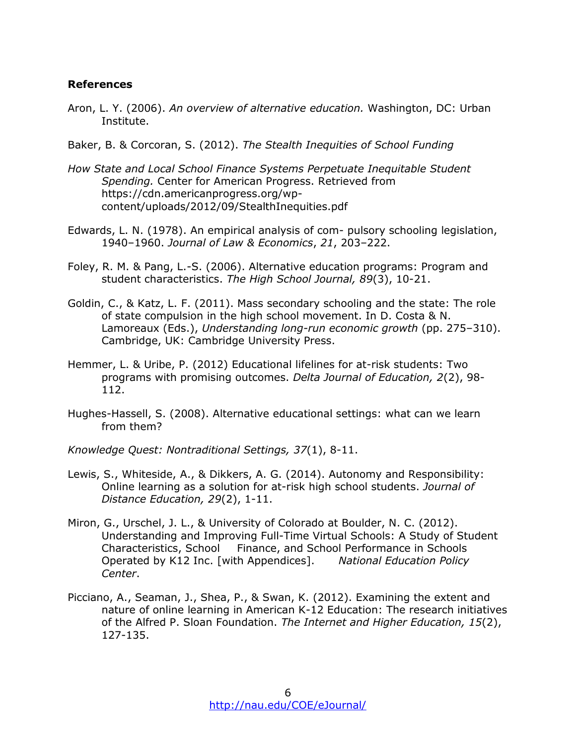#### **References**

- Aron, L. Y. (2006). *An overview of alternative education.* Washington, DC: Urban Institute.
- Baker, B. & Corcoran, S. (2012). *The Stealth Inequities of School Funding*
- *How State and Local School Finance Systems Perpetuate Inequitable Student Spending.* Center for American Progress. Retrieved from https://cdn.americanprogress.org/wpcontent/uploads/2012/09/StealthInequities.pdf
- Edwards, L. N. (1978). An empirical analysis of com- pulsory schooling legislation, 1940–1960. *Journal of Law & Economics*, *21*, 203–222.
- Foley, R. M. & Pang, L.-S. (2006). Alternative education programs: Program and student characteristics. *The High School Journal, 89*(3), 10-21.
- Goldin, C., & Katz, L. F. (2011). Mass secondary schooling and the state: The role of state compulsion in the high school movement. In D. Costa & N. Lamoreaux (Eds.), *Understanding long-run economic growth* (pp. 275–310). Cambridge, UK: Cambridge University Press.
- Hemmer, L. & Uribe, P. (2012) Educational lifelines for at-risk students: Two programs with promising outcomes. *Delta Journal of Education, 2*(2), 98- 112.
- Hughes-Hassell, S. (2008). Alternative educational settings: what can we learn from them?
- *Knowledge Quest: Nontraditional Settings, 37*(1), 8-11.
- Lewis, S., Whiteside, A., & Dikkers, A. G. (2014). Autonomy and Responsibility: Online learning as a solution for at-risk high school students. *Journal of Distance Education, 29*(2), 1-11.
- Miron, G., Urschel, J. L., & University of Colorado at Boulder, N. C. (2012). Understanding and Improving Full-Time Virtual Schools: A Study of Student Characteristics, School Finance, and School Performance in Schools Operated by K12 Inc. [with Appendices]. *National Education Policy Center*.
- Picciano, A., Seaman, J., Shea, P., & Swan, K. (2012). Examining the extent and nature of online learning in American K-12 Education: The research initiatives of the Alfred P. Sloan Foundation. *The Internet and Higher Education, 15*(2), 127-135.